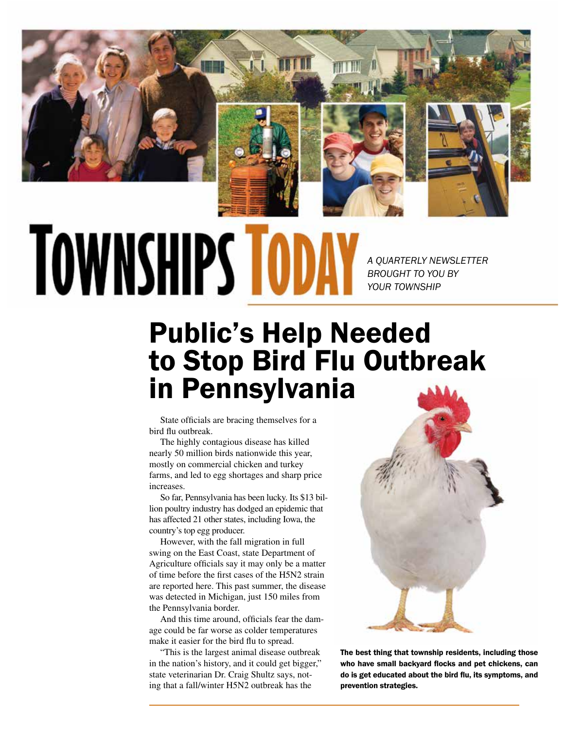

## **TOWNSHIPS TOD**

*A QUARTERLY NEWSLETTER BROUGHT TO YOU BY YOUR TOWNSHIP*

## Public's Help Needed to Stop Bird Flu Outbreak in Pennsylvania

State officials are bracing themselves for a bird flu outbreak.

The highly contagious disease has killed nearly 50 million birds nationwide this year, mostly on commercial chicken and turkey farms, and led to egg shortages and sharp price increases.

So far, Pennsylvania has been lucky. Its \$13 billion poultry industry has dodged an epidemic that has affected 21 other states, including Iowa, the country's top egg producer.

However, with the fall migration in full swing on the East Coast, state Department of Agriculture officials say it may only be a matter of time before the first cases of the H5N2 strain are reported here. This past summer, the disease was detected in Michigan, just 150 miles from the Pennsylvania border.

And this time around, officials fear the damage could be far worse as colder temperatures make it easier for the bird flu to spread.

"This is the largest animal disease outbreak in the nation's history, and it could get bigger," state veterinarian Dr. Craig Shultz says, noting that a fall/winter H5N2 outbreak has the



The best thing that township residents, including those who have small backyard flocks and pet chickens, can do is get educated about the bird flu, its symptoms, and prevention strategies.